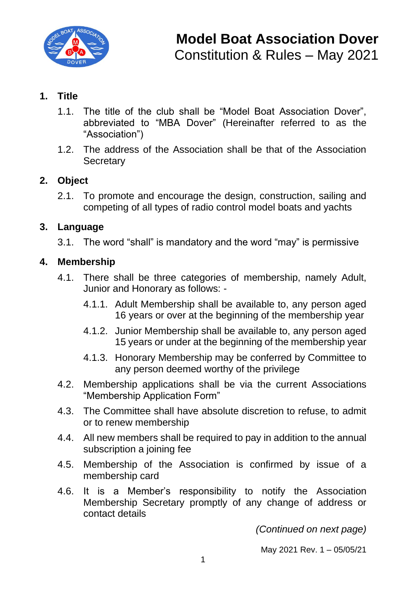

### **1. Title**

- 1.1. The title of the club shall be "Model Boat Association Dover", abbreviated to "MBA Dover" (Hereinafter referred to as the "Association")
- 1.2. The address of the Association shall be that of the Association **Secretary**

#### **2. Object**

2.1. To promote and encourage the design, construction, sailing and competing of all types of radio control model boats and yachts

#### **3. Language**

3.1. The word "shall" is mandatory and the word "may" is permissive

#### **4. Membership**

- 4.1. There shall be three categories of membership, namely Adult, Junior and Honorary as follows: -
	- 4.1.1. Adult Membership shall be available to, any person aged 16 years or over at the beginning of the membership year
	- 4.1.2. Junior Membership shall be available to, any person aged 15 years or under at the beginning of the membership year
	- 4.1.3. Honorary Membership may be conferred by Committee to any person deemed worthy of the privilege
- 4.2. Membership applications shall be via the current Associations "Membership Application Form"
- 4.3. The Committee shall have absolute discretion to refuse, to admit or to renew membership
- 4.4. All new members shall be required to pay in addition to the annual subscription a joining fee
- 4.5. Membership of the Association is confirmed by issue of a membership card
- 4.6. It is a Member's responsibility to notify the Association Membership Secretary promptly of any change of address or contact details

*(Continued on next page)*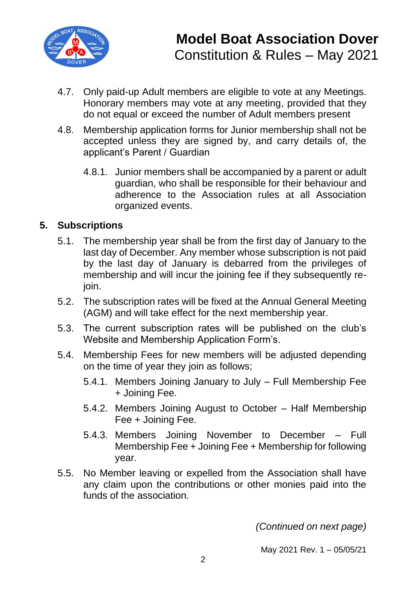

- 4.7. Only paid-up Adult members are eligible to vote at any Meetings. Honorary members may vote at any meeting, provided that they do not equal or exceed the number of Adult members present
- 4.8. Membership application forms for Junior membership shall not be accepted unless they are signed by, and carry details of, the applicant's Parent / Guardian
	- 4.8.1. Junior members shall be accompanied by a parent or adult guardian, who shall be responsible for their behaviour and adherence to the Association rules at all Association organized events.

### **5. Subscriptions**

- 5.1. The membership year shall be from the first day of January to the last day of December. Any member whose subscription is not paid by the last day of January is debarred from the privileges of membership and will incur the joining fee if they subsequently rejoin.
- 5.2. The subscription rates will be fixed at the Annual General Meeting (AGM) and will take effect for the next membership year.
- 5.3. The current subscription rates will be published on the club's Website and Membership Application Form's.
- 5.4. Membership Fees for new members will be adjusted depending on the time of year they join as follows;
	- 5.4.1. Members Joining January to July Full Membership Fee + Joining Fee.
	- 5.4.2. Members Joining August to October Half Membership Fee + Joining Fee.
	- 5.4.3. Members Joining November to December Full Membership Fee + Joining Fee + Membership for following year.
- 5.5. No Member leaving or expelled from the Association shall have any claim upon the contributions or other monies paid into the funds of the association.

*(Continued on next page)*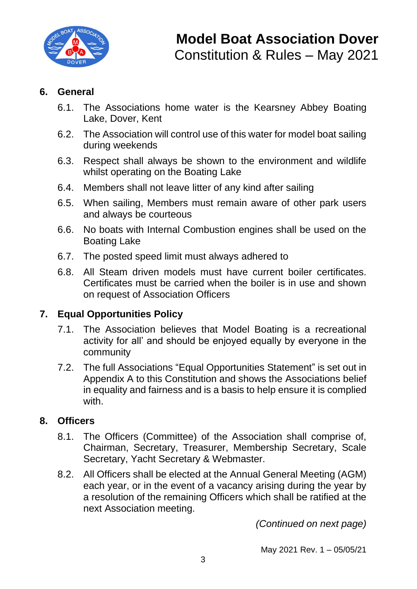

#### **6. General**

- 6.1. The Associations home water is the Kearsney Abbey Boating Lake, Dover, Kent
- 6.2. The Association will control use of this water for model boat sailing during weekends
- 6.3. Respect shall always be shown to the environment and wildlife whilst operating on the Boating Lake
- 6.4. Members shall not leave litter of any kind after sailing
- 6.5. When sailing, Members must remain aware of other park users and always be courteous
- 6.6. No boats with Internal Combustion engines shall be used on the Boating Lake
- 6.7. The posted speed limit must always adhered to
- 6.8. All Steam driven models must have current boiler certificates. Certificates must be carried when the boiler is in use and shown on request of Association Officers

## **7. Equal Opportunities Policy**

- 7.1. The Association believes that Model Boating is a recreational activity for all' and should be enjoyed equally by everyone in the community
- 7.2. The full Associations "Equal Opportunities Statement" is set out in Appendix A to this Constitution and shows the Associations belief in equality and fairness and is a basis to help ensure it is complied with.

## **8. Officers**

- 8.1. The Officers (Committee) of the Association shall comprise of, Chairman, Secretary, Treasurer, Membership Secretary, Scale Secretary, Yacht Secretary & Webmaster.
- 8.2. All Officers shall be elected at the Annual General Meeting (AGM) each year, or in the event of a vacancy arising during the year by a resolution of the remaining Officers which shall be ratified at the next Association meeting.

*(Continued on next page)*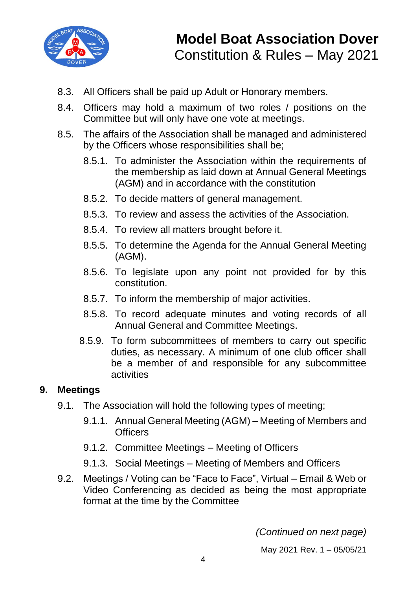

- 8.3. All Officers shall be paid up Adult or Honorary members.
- 8.4. Officers may hold a maximum of two roles / positions on the Committee but will only have one vote at meetings.
- 8.5. The affairs of the Association shall be managed and administered by the Officers whose responsibilities shall be;
	- 8.5.1. To administer the Association within the requirements of the membership as laid down at Annual General Meetings (AGM) and in accordance with the constitution
	- 8.5.2. To decide matters of general management.
	- 8.5.3. To review and assess the activities of the Association.
	- 8.5.4. To review all matters brought before it.
	- 8.5.5. To determine the Agenda for the Annual General Meeting (AGM).
	- 8.5.6. To legislate upon any point not provided for by this constitution.
	- 8.5.7. To inform the membership of major activities.
	- 8.5.8. To record adequate minutes and voting records of all Annual General and Committee Meetings.
	- 8.5.9. To form subcommittees of members to carry out specific duties, as necessary. A minimum of one club officer shall be a member of and responsible for any subcommittee activities

#### **9. Meetings**

- 9.1. The Association will hold the following types of meeting;
	- 9.1.1. Annual General Meeting (AGM) Meeting of Members and **Officers**
	- 9.1.2. Committee Meetings Meeting of Officers
	- 9.1.3. Social Meetings Meeting of Members and Officers
- 9.2. Meetings / Voting can be "Face to Face", Virtual Email & Web or Video Conferencing as decided as being the most appropriate format at the time by the Committee

*(Continued on next page)*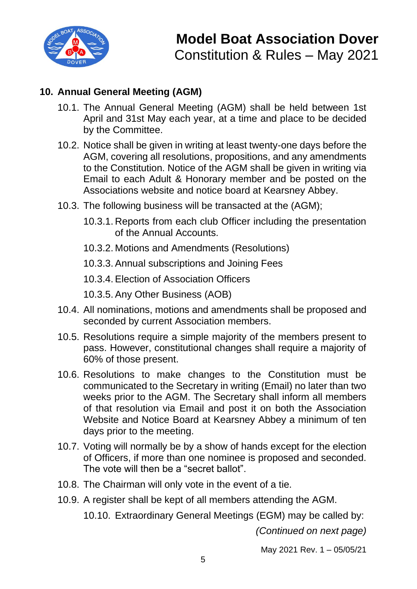

# **10. Annual General Meeting (AGM)**

- 10.1. The Annual General Meeting (AGM) shall be held between 1st April and 31st May each year, at a time and place to be decided by the Committee.
- 10.2. Notice shall be given in writing at least twenty-one days before the AGM, covering all resolutions, propositions, and any amendments to the Constitution. Notice of the AGM shall be given in writing via Email to each Adult & Honorary member and be posted on the Associations website and notice board at Kearsney Abbey.
- 10.3. The following business will be transacted at the (AGM);
	- 10.3.1. Reports from each club Officer including the presentation of the Annual Accounts.
	- 10.3.2. Motions and Amendments (Resolutions)
	- 10.3.3. Annual subscriptions and Joining Fees
	- 10.3.4. Election of Association Officers
	- 10.3.5. Any Other Business (AOB)
- 10.4. All nominations, motions and amendments shall be proposed and seconded by current Association members.
- 10.5. Resolutions require a simple majority of the members present to pass. However, constitutional changes shall require a majority of 60% of those present.
- 10.6. Resolutions to make changes to the Constitution must be communicated to the Secretary in writing (Email) no later than two weeks prior to the AGM. The Secretary shall inform all members of that resolution via Email and post it on both the Association Website and Notice Board at Kearsney Abbey a minimum of ten days prior to the meeting.
- 10.7. Voting will normally be by a show of hands except for the election of Officers, if more than one nominee is proposed and seconded. The vote will then be a "secret ballot".
- 10.8. The Chairman will only vote in the event of a tie.
- 10.9. A register shall be kept of all members attending the AGM.

10.10. Extraordinary General Meetings (EGM) may be called by:

*(Continued on next page)*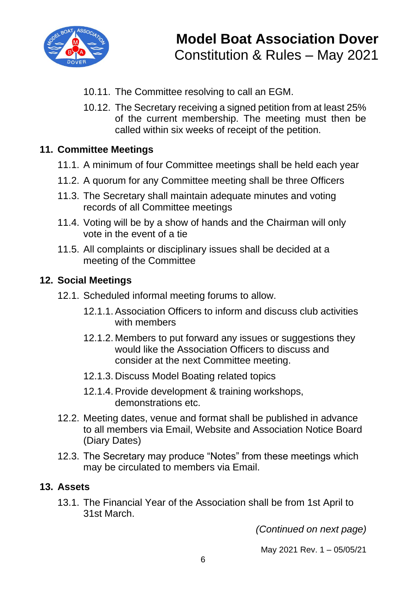

- 10.11. The Committee resolving to call an EGM.
- 10.12. The Secretary receiving a signed petition from at least 25% of the current membership. The meeting must then be called within six weeks of receipt of the petition.

#### **11. Committee Meetings**

- 11.1. A minimum of four Committee meetings shall be held each year
- 11.2. A quorum for any Committee meeting shall be three Officers
- 11.3. The Secretary shall maintain adequate minutes and voting records of all Committee meetings
- 11.4. Voting will be by a show of hands and the Chairman will only vote in the event of a tie
- 11.5. All complaints or disciplinary issues shall be decided at a meeting of the Committee

#### **12. Social Meetings**

- 12.1. Scheduled informal meeting forums to allow.
	- 12.1.1. Association Officers to inform and discuss club activities with members
	- 12.1.2. Members to put forward any issues or suggestions they would like the Association Officers to discuss and consider at the next Committee meeting.
	- 12.1.3. Discuss Model Boating related topics
	- 12.1.4. Provide development & training workshops, demonstrations etc.
- 12.2. Meeting dates, venue and format shall be published in advance to all members via Email, Website and Association Notice Board (Diary Dates)
- 12.3. The Secretary may produce "Notes" from these meetings which may be circulated to members via Email.

#### **13. Assets**

13.1. The Financial Year of the Association shall be from 1st April to 31st March.

*(Continued on next page)*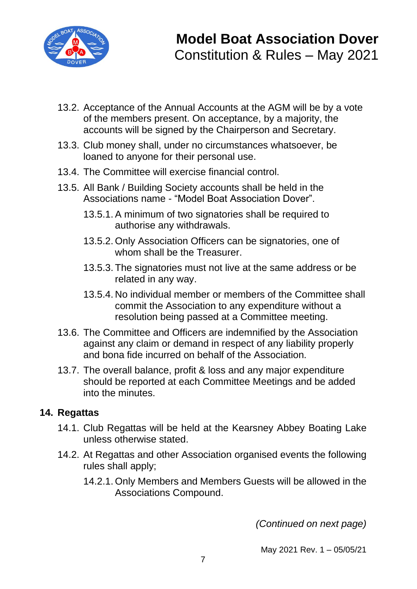

- 13.2. Acceptance of the Annual Accounts at the AGM will be by a vote of the members present. On acceptance, by a majority, the accounts will be signed by the Chairperson and Secretary.
- 13.3. Club money shall, under no circumstances whatsoever, be loaned to anyone for their personal use.
- 13.4. The Committee will exercise financial control.
- 13.5. All Bank / Building Society accounts shall be held in the Associations name - "Model Boat Association Dover".
	- 13.5.1. A minimum of two signatories shall be required to authorise any withdrawals.
	- 13.5.2. Only Association Officers can be signatories, one of whom shall be the Treasurer.
	- 13.5.3. The signatories must not live at the same address or be related in any way.
	- 13.5.4. No individual member or members of the Committee shall commit the Association to any expenditure without a resolution being passed at a Committee meeting.
- 13.6. The Committee and Officers are indemnified by the Association against any claim or demand in respect of any liability properly and bona fide incurred on behalf of the Association.
- 13.7. The overall balance, profit & loss and any major expenditure should be reported at each Committee Meetings and be added into the minutes.

#### **14. Regattas**

- 14.1. Club Regattas will be held at the Kearsney Abbey Boating Lake unless otherwise stated.
- 14.2. At Regattas and other Association organised events the following rules shall apply;
	- 14.2.1. Only Members and Members Guests will be allowed in the Associations Compound.

*(Continued on next page)*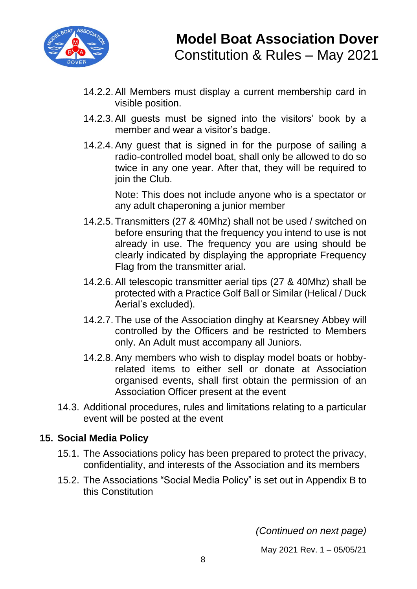

- 14.2.2. All Members must display a current membership card in visible position.
- 14.2.3. All guests must be signed into the visitors' book by a member and wear a visitor's badge.
- 14.2.4. Any guest that is signed in for the purpose of sailing a radio-controlled model boat, shall only be allowed to do so twice in any one year. After that, they will be required to join the Club.

Note: This does not include anyone who is a spectator or any adult chaperoning a junior member

- 14.2.5. Transmitters (27 & 40Mhz) shall not be used / switched on before ensuring that the frequency you intend to use is not already in use. The frequency you are using should be clearly indicated by displaying the appropriate Frequency Flag from the transmitter arial.
- 14.2.6. All telescopic transmitter aerial tips (27 & 40Mhz) shall be protected with a Practice Golf Ball or Similar (Helical / Duck Aerial's excluded).
- 14.2.7. The use of the Association dinghy at Kearsney Abbey will controlled by the Officers and be restricted to Members only. An Adult must accompany all Juniors.
- 14.2.8. Any members who wish to display model boats or hobbyrelated items to either sell or donate at Association organised events, shall first obtain the permission of an Association Officer present at the event
- 14.3. Additional procedures, rules and limitations relating to a particular event will be posted at the event

## **15. Social Media Policy**

- 15.1. The Associations policy has been prepared to protect the privacy, confidentiality, and interests of the Association and its members
- 15.2. The Associations "Social Media Policy" is set out in Appendix B to this Constitution

*(Continued on next page)*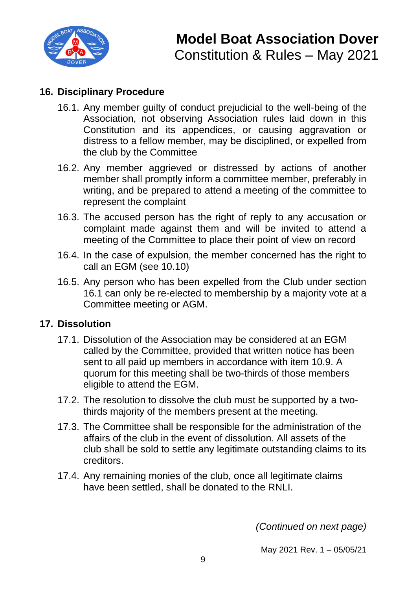

## **16. Disciplinary Procedure**

- 16.1. Any member guilty of conduct prejudicial to the well-being of the Association, not observing Association rules laid down in this Constitution and its appendices, or causing aggravation or distress to a fellow member, may be disciplined, or expelled from the club by the Committee
- 16.2. Any member aggrieved or distressed by actions of another member shall promptly inform a committee member, preferably in writing, and be prepared to attend a meeting of the committee to represent the complaint
- 16.3. The accused person has the right of reply to any accusation or complaint made against them and will be invited to attend a meeting of the Committee to place their point of view on record
- 16.4. In the case of expulsion, the member concerned has the right to call an EGM (see 10.10)
- 16.5. Any person who has been expelled from the Club under section 16.1 can only be re-elected to membership by a majority vote at a Committee meeting or AGM.

#### **17. Dissolution**

- 17.1. Dissolution of the Association may be considered at an EGM called by the Committee, provided that written notice has been sent to all paid up members in accordance with item 10.9. A quorum for this meeting shall be two-thirds of those members eligible to attend the EGM.
- 17.2. The resolution to dissolve the club must be supported by a twothirds majority of the members present at the meeting.
- 17.3. The Committee shall be responsible for the administration of the affairs of the club in the event of dissolution. All assets of the club shall be sold to settle any legitimate outstanding claims to its creditors.
- 17.4. Any remaining monies of the club, once all legitimate claims have been settled, shall be donated to the RNLI.

*(Continued on next page)*